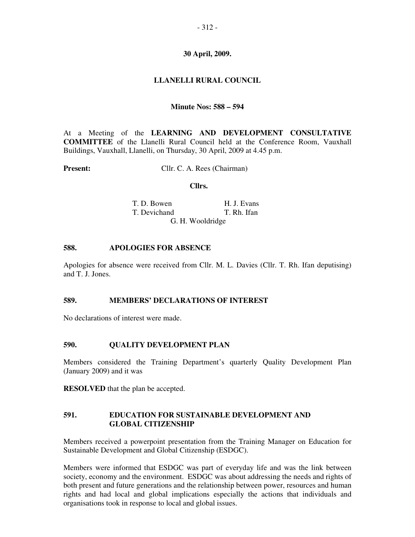## **30 April, 2009.**

# **LLANELLI RURAL COUNCIL**

## **Minute Nos: 588 – 594**

At a Meeting of the **LEARNING AND DEVELOPMENT CONSULTATIVE COMMITTEE** of the Llanelli Rural Council held at the Conference Room, Vauxhall Buildings, Vauxhall, Llanelli, on Thursday, 30 April, 2009 at 4.45 p.m.

**Present:** Cllr. C. A. Rees (Chairman)

#### **Cllrs.**

**T. D. Bowen H. J. Evans**  T. Devichand T. Rh. Ifan G. H. Wooldridge

## **588. APOLOGIES FOR ABSENCE**

Apologies for absence were received from Cllr. M. L. Davies (Cllr. T. Rh. Ifan deputising) and T. J. Jones.

## **589. MEMBERS' DECLARATIONS OF INTEREST**

No declarations of interest were made.

## **590. QUALITY DEVELOPMENT PLAN**

Members considered the Training Department's quarterly Quality Development Plan (January 2009) and it was

**RESOLVED** that the plan be accepted.

## **591. EDUCATION FOR SUSTAINABLE DEVELOPMENT AND GLOBAL CITIZENSHIP**

Members received a powerpoint presentation from the Training Manager on Education for Sustainable Development and Global Citizenship (ESDGC).

Members were informed that ESDGC was part of everyday life and was the link between society, economy and the environment. ESDGC was about addressing the needs and rights of both present and future generations and the relationship between power, resources and human rights and had local and global implications especially the actions that individuals and organisations took in response to local and global issues.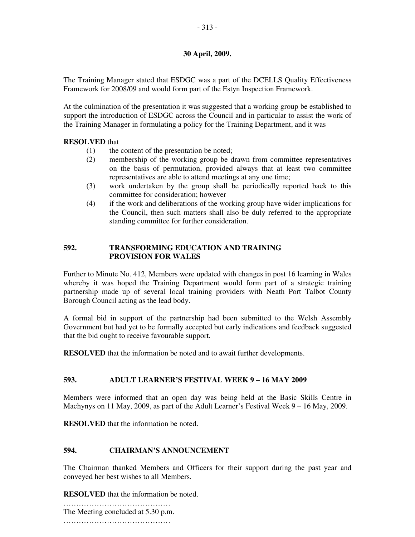# **30 April, 2009.**

The Training Manager stated that ESDGC was a part of the DCELLS Quality Effectiveness Framework for 2008/09 and would form part of the Estyn Inspection Framework.

At the culmination of the presentation it was suggested that a working group be established to support the introduction of ESDGC across the Council and in particular to assist the work of the Training Manager in formulating a policy for the Training Department, and it was

## **RESOLVED** that

- (1) the content of the presentation be noted;
- (2) membership of the working group be drawn from committee representatives on the basis of permutation, provided always that at least two committee representatives are able to attend meetings at any one time;
- (3) work undertaken by the group shall be periodically reported back to this committee for consideration; however
- (4) if the work and deliberations of the working group have wider implications for the Council, then such matters shall also be duly referred to the appropriate standing committee for further consideration.

## **592. TRANSFORMING EDUCATION AND TRAINING PROVISION FOR WALES**

Further to Minute No. 412, Members were updated with changes in post 16 learning in Wales whereby it was hoped the Training Department would form part of a strategic training partnership made up of several local training providers with Neath Port Talbot County Borough Council acting as the lead body.

A formal bid in support of the partnership had been submitted to the Welsh Assembly Government but had yet to be formally accepted but early indications and feedback suggested that the bid ought to receive favourable support.

**RESOLVED** that the information be noted and to await further developments.

## **593. ADULT LEARNER'S FESTIVAL WEEK 9 – 16 MAY 2009**

Members were informed that an open day was being held at the Basic Skills Centre in Machynys on 11 May, 2009, as part of the Adult Learner's Festival Week  $9 - 16$  May, 2009.

**RESOLVED** that the information be noted.

## **594. CHAIRMAN'S ANNOUNCEMENT**

The Chairman thanked Members and Officers for their support during the past year and conveyed her best wishes to all Members.

**RESOLVED** that the information be noted.

…………………………………… The Meeting concluded at 5.30 p.m. ……………………………………………